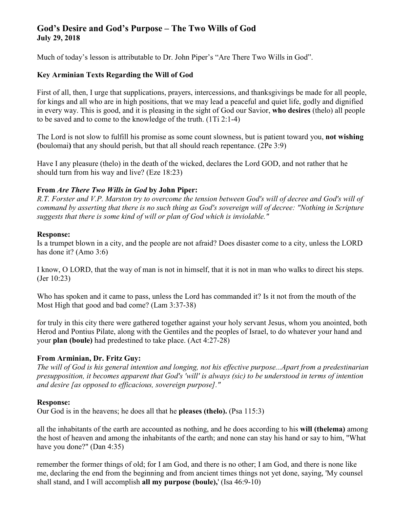# **God's Desire and God's Purpose – The Two Wills of God July 29, 2018**

Much of today's lesson is attributable to Dr. John Piper's "Are There Two Wills in God".

### **Key Arminian Texts Regarding the Will of God**

First of all, then, I urge that supplications, prayers, intercessions, and thanksgivings be made for all people, for kings and all who are in high positions, that we may lead a peaceful and quiet life, godly and dignified in every way. This is good, and it is pleasing in the sight of God our Savior, **who desires** (thelo) all people to be saved and to come to the knowledge of the truth. (1Ti 2:1-4)

The Lord is not slow to fulfill his promise as some count slowness, but is patient toward you, **not wishing (**boulomai**)** that any should perish, but that all should reach repentance. (2Pe 3:9)

Have I any pleasure (thelo) in the death of the wicked, declares the Lord GOD, and not rather that he should turn from his way and live? (Eze 18:23)

### **From** *Are There Two Wills in God* **by John Piper:**

*R.T. Forster and V.P. Marston try to overcome the tension between God's will of decree and God's will of command by asserting that there is no such thing as God's sovereign will of decree: "Nothing in Scripture suggests that there is some kind of will or plan of God which is inviolable."* 

#### **Response:**

Is a trumpet blown in a city, and the people are not afraid? Does disaster come to a city, unless the LORD has done it? (Amo 3:6)

I know, O LORD, that the way of man is not in himself, that it is not in man who walks to direct his steps. (Jer 10:23)

Who has spoken and it came to pass, unless the Lord has commanded it? Is it not from the mouth of the Most High that good and bad come? (Lam 3:37-38)

for truly in this city there were gathered together against your holy servant Jesus, whom you anointed, both Herod and Pontius Pilate, along with the Gentiles and the peoples of Israel, to do whatever your hand and your **plan (boule)** had predestined to take place. (Act 4:27-28)

### **From Arminian, Dr. Fritz Guy:**

*The will of God is his general intention and longing, not his effective purpose...Apart from a predestinarian presupposition, it becomes apparent that God's 'will' is always (sic) to be understood in terms of intention and desire [as opposed to efficacious, sovereign purpose]."* 

#### **Response:**

Our God is in the heavens; he does all that he **pleases (thelo).** (Psa 115:3)

all the inhabitants of the earth are accounted as nothing, and he does according to his **will (thelema)** among the host of heaven and among the inhabitants of the earth; and none can stay his hand or say to him, "What have you done?" (Dan 4:35)

remember the former things of old; for I am God, and there is no other; I am God, and there is none like me, declaring the end from the beginning and from ancient times things not yet done, saying, 'My counsel shall stand, and I will accomplish **all my purpose (boule),**' (Isa 46:9-10)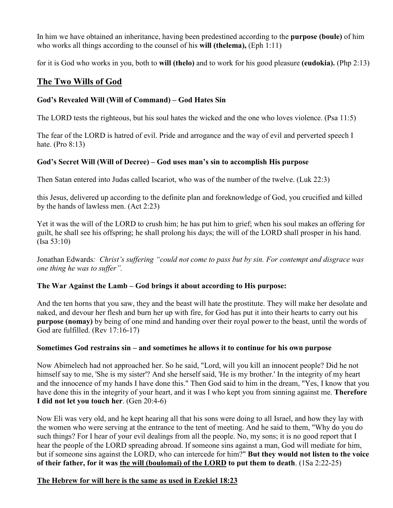In him we have obtained an inheritance, having been predestined according to the **purpose (boule)** of him who works all things according to the counsel of his **will (thelema),** (Eph 1:11)

for it is God who works in you, both to **will (thelo)** and to work for his good pleasure **(eudokia).** (Php 2:13)

# **The Two Wills of God**

## **God's Revealed Will (Will of Command) – God Hates Sin**

The LORD tests the righteous, but his soul hates the wicked and the one who loves violence. (Psa 11:5)

The fear of the LORD is hatred of evil. Pride and arrogance and the way of evil and perverted speech I hate. (Pro 8:13)

### **God's Secret Will (Will of Decree) – God uses man's sin to accomplish His purpose**

Then Satan entered into Judas called Iscariot, who was of the number of the twelve. (Luk 22:3)

this Jesus, delivered up according to the definite plan and foreknowledge of God, you crucified and killed by the hands of lawless men. (Act 2:23)

Yet it was the will of the LORD to crush him; he has put him to grief; when his soul makes an offering for guilt, he shall see his offspring; he shall prolong his days; the will of the LORD shall prosper in his hand. (Isa 53:10)

Jonathan Edwards*: Christ's suffering "could not come to pass but by sin. For contempt and disgrace was one thing he was to suffer".*

### **The War Against the Lamb – God brings it about according to His purpose:**

And the ten horns that you saw, they and the beast will hate the prostitute. They will make her desolate and naked, and devour her flesh and burn her up with fire, for God has put it into their hearts to carry out his **purpose (nomay)** by being of one mind and handing over their royal power to the beast, until the words of God are fulfilled. (Rev 17:16-17)

### **Sometimes God restrains sin – and sometimes he allows it to continue for his own purpose**

Now Abimelech had not approached her. So he said, "Lord, will you kill an innocent people? Did he not himself say to me, 'She is my sister'? And she herself said, 'He is my brother.' In the integrity of my heart and the innocence of my hands I have done this." Then God said to him in the dream, "Yes, I know that you have done this in the integrity of your heart, and it was I who kept you from sinning against me. **Therefore I did not let you touch her**. (Gen 20:4-6)

Now Eli was very old, and he kept hearing all that his sons were doing to all Israel, and how they lay with the women who were serving at the entrance to the tent of meeting. And he said to them, "Why do you do such things? For I hear of your evil dealings from all the people. No, my sons; it is no good report that I hear the people of the LORD spreading abroad. If someone sins against a man, God will mediate for him, but if someone sins against the LORD, who can intercede for him?" **But they would not listen to the voice of their father, for it was the will (boulomai) of the LORD to put them to death**. (1Sa 2:22-25)

### **The Hebrew for will here is the same as used in Ezekiel 18:23**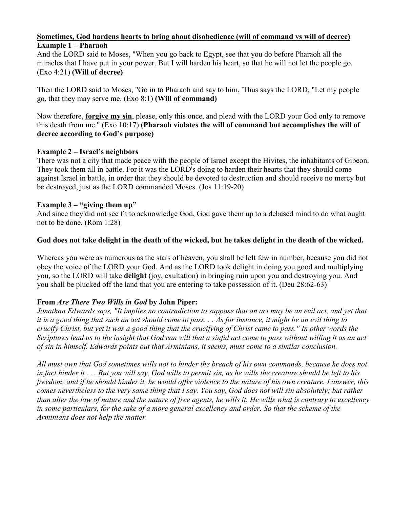#### **Sometimes, God hardens hearts to bring about disobedience (will of command vs will of decree) Example 1 – Pharaoh**

And the LORD said to Moses, "When you go back to Egypt, see that you do before Pharaoh all the miracles that I have put in your power. But I will harden his heart, so that he will not let the people go. (Exo 4:21) **(Will of decree)**

Then the LORD said to Moses, "Go in to Pharaoh and say to him, 'Thus says the LORD, "Let my people go, that they may serve me. (Exo 8:1) **(Will of command)** 

Now therefore, **forgive my sin**, please, only this once, and plead with the LORD your God only to remove this death from me." (Exo 10:17) **(Pharaoh violates the will of command but accomplishes the will of decree according to God's purpose)** 

### **Example 2 – Israel's neighbors**

There was not a city that made peace with the people of Israel except the Hivites, the inhabitants of Gibeon. They took them all in battle. For it was the LORD's doing to harden their hearts that they should come against Israel in battle, in order that they should be devoted to destruction and should receive no mercy but be destroyed, just as the LORD commanded Moses. (Jos 11:19-20)

### **Example 3 – "giving them up"**

And since they did not see fit to acknowledge God, God gave them up to a debased mind to do what ought not to be done. (Rom 1:28)

## **God does not take delight in the death of the wicked, but he takes delight in the death of the wicked.**

Whereas you were as numerous as the stars of heaven, you shall be left few in number, because you did not obey the voice of the LORD your God. And as the LORD took delight in doing you good and multiplying you, so the LORD will take **delight** (joy, exultation) in bringing ruin upon you and destroying you. And you shall be plucked off the land that you are entering to take possession of it. (Deu 28:62-63)

## **From** *Are There Two Wills in God* **by John Piper:**

*Jonathan Edwards says, "It implies no contradiction to suppose that an act may be an evil act, and yet that it is a good thing that such an act should come to pass. . . As for instance, it might be an evil thing to crucify Christ, but yet it was a good thing that the crucifying of Christ came to pass." In other words the Scriptures lead us to the insight that God can will that a sinful act come to pass without willing it as an act of sin in himself. Edwards points out that Arminians, it seems, must come to a similar conclusion.* 

*All must own that God sometimes wills not to hinder the breach of his own commands, because he does not in fact hinder it . . . But you will say, God wills to permit sin, as he wills the creature should be left to his freedom; and if he should hinder it, he would offer violence to the nature of his own creature. I answer, this comes nevertheless to the very same thing that I say. You say, God does not will sin absolutely; but rather than alter the law of nature and the nature of free agents, he wills it. He wills what is contrary to excellency*  in some particulars, for the sake of a more general excellency and order. So that the scheme of the *Arminians does not help the matter.*